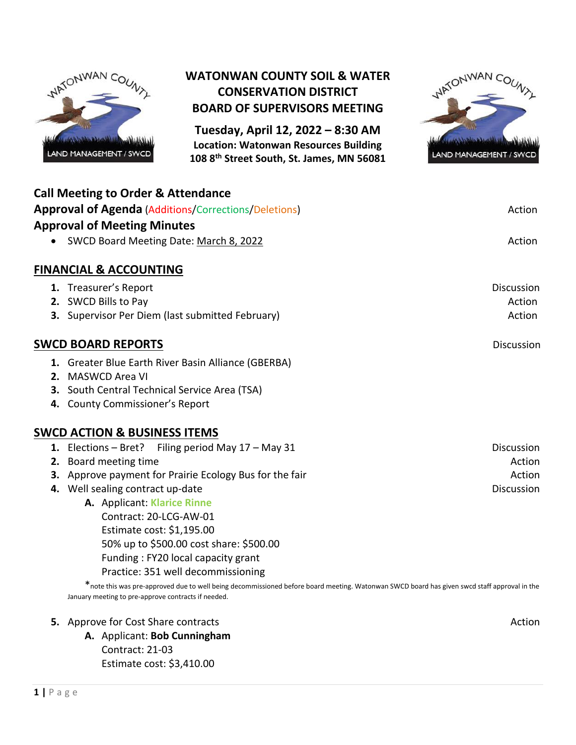

## **WATONWAN COUNTY SOIL & WATER CONSERVATION DISTRICT BOARD OF SUPERVISORS MEETING**

**Tuesday, April 12, 2022 – 8:30 AM Location: Watonwan Resources Building 108 8th Street South, St. James, MN 56081**



| <b>Call Meeting to Order &amp; Attendance</b>               |                   |
|-------------------------------------------------------------|-------------------|
| <b>Approval of Agenda (Additions/Corrections/Deletions)</b> | Action            |
| <b>Approval of Meeting Minutes</b>                          |                   |
| SWCD Board Meeting Date: March 8, 2022<br>$\bullet$         | Action            |
| <b>FINANCIAL &amp; ACCOUNTING</b>                           |                   |
| 1. Treasurer's Report                                       | <b>Discussion</b> |
| 2. SWCD Bills to Pay                                        | Action            |
| 3. Supervisor Per Diem (last submitted February)            | Action            |
| <b>SWCD BOARD REPORTS</b>                                   | Discussion        |
| 1. Greater Blue Earth River Basin Alliance (GBERBA)         |                   |
| 2. MASWCD Area VI                                           |                   |
| 3. South Central Technical Service Area (TSA)               |                   |
| 4. County Commissioner's Report                             |                   |
| <b>SWCD ACTION &amp; BUSINESS ITEMS</b>                     |                   |
| 1. Elections – Bret? Filing period May $17 -$ May 31        | <b>Discussion</b> |
| 2. Board meeting time                                       | Action            |
| 3. Approve payment for Prairie Ecology Bus for the fair     | Action            |
| 4. Well sealing contract up-date                            | <b>Discussion</b> |
| A. Applicant: Klarice Rinne                                 |                   |
| Contract: 20-LCG-AW-01                                      |                   |
| Estimate cost: \$1,195.00                                   |                   |
| 50% up to \$500.00 cost share: \$500.00                     |                   |
| Funding: FY20 local capacity grant                          |                   |
| Practice: 351 well decommissioning                          |                   |

\*note this was pre-approved due to well being decommissioned before board meeting. Watonwan SWCD board has given swcd staff approval in the January meeting to pre-approve contracts if needed.

### **5.** Approve for Cost Share contracts Action Action Action Action Action Action Action Action Action

**A.** Applicant: **Bob Cunningham** Contract: 21-03 Estimate cost: \$3,410.00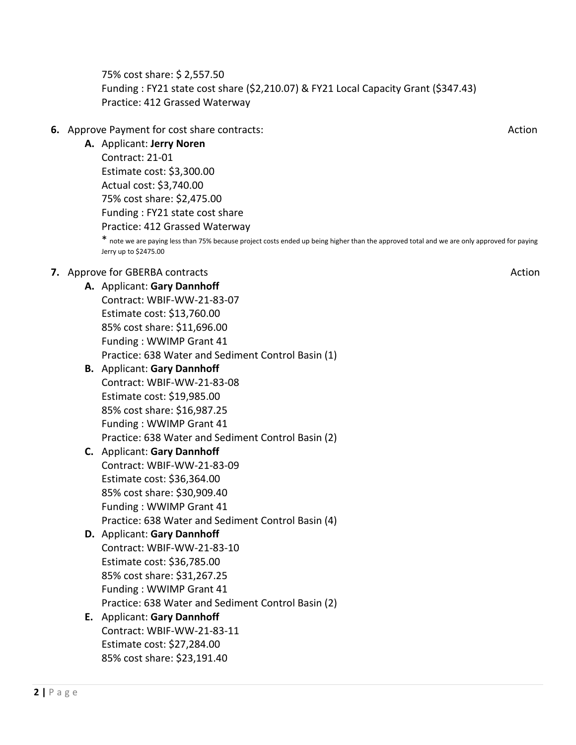75% cost share: \$ 2,557.50 Funding : FY21 state cost share (\$2,210.07) & FY21 Local Capacity Grant (\$347.43) Practice: 412 Grassed Waterway

### **6.** Approve Payment for cost share contracts: Action and the state of the state of the state of the state of the state of the state of the state of the state of the state of the state of the state of the state of the stat

**A.** Applicant: **Jerry Noren** Contract: 21-01 Estimate cost: \$3,300.00 Actual cost: \$3,740.00 75% cost share: \$2,475.00 Funding : FY21 state cost share Practice: 412 Grassed Waterway

\* note we are paying less than 75% because project costs ended up being higher than the approved total and we are only approved for paying Jerry up to \$2475.00

### **7.** Approve for GBERBA contracts Action Action Action Action Action Action Action Action Action Action Action

**A.** Applicant: **Gary Dannhoff**

Contract: WBIF-WW-21-83-07 Estimate cost: \$13,760.00 85% cost share: \$11,696.00 Funding : WWIMP Grant 41 Practice: 638 Water and Sediment Control Basin (1)

- **B.** Applicant: **Gary Dannhoff** Contract: WBIF-WW-21-83-08 Estimate cost: \$19,985.00 85% cost share: \$16,987.25 Funding : WWIMP Grant 41 Practice: 638 Water and Sediment Control Basin (2)
- **C.** Applicant: **Gary Dannhoff** Contract: WBIF-WW-21-83-09 Estimate cost: \$36,364.00 85% cost share: \$30,909.40 Funding : WWIMP Grant 41 Practice: 638 Water and Sediment Control Basin (4)
- **D.** Applicant: **Gary Dannhoff** Contract: WBIF-WW-21-83-10 Estimate cost: \$36,785.00 85% cost share: \$31,267.25 Funding : WWIMP Grant 41 Practice: 638 Water and Sediment Control Basin (2)

### **E.** Applicant: **Gary Dannhoff** Contract: WBIF-WW-21-83-11 Estimate cost: \$27,284.00 85% cost share: \$23,191.40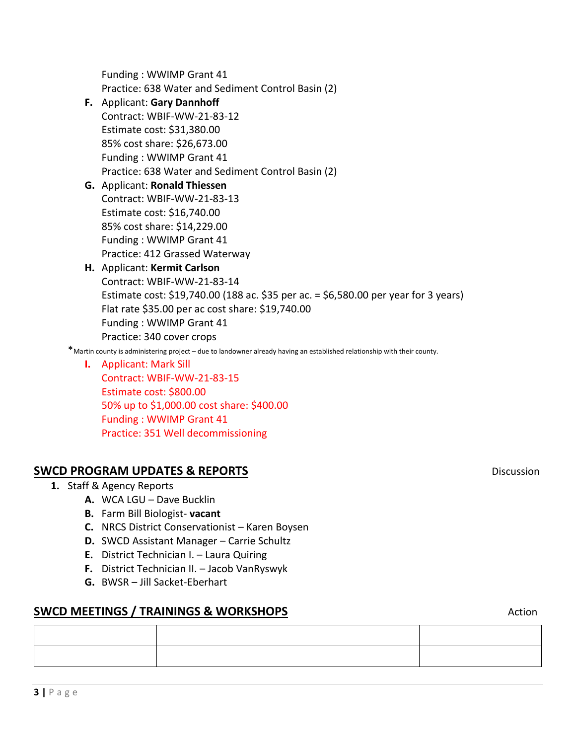**F.** Applicant: **Gary Dannhoff** Contract: WBIF-WW-21-83-12

Funding : WWIMP Grant 41

Estimate cost: \$31,380.00 85% cost share: \$26,673.00 Funding : WWIMP Grant 41 Practice: 638 Water and Sediment Control Basin (2)

Practice: 638 Water and Sediment Control Basin (2)

- **G.** Applicant: **Ronald Thiessen** Contract: WBIF-WW-21-83-13 Estimate cost: \$16,740.00 85% cost share: \$14,229.00
	- Funding : WWIMP Grant 41
	- Practice: 412 Grassed Waterway
- **H.** Applicant: **Kermit Carlson** Contract: WBIF-WW-21-83-14 Estimate cost: \$19,740.00 (188 ac. \$35 per ac. = \$6,580.00 per year for 3 years) Flat rate \$35.00 per ac cost share: \$19,740.00 Funding : WWIMP Grant 41 Practice: 340 cover crops

\*Martin county is administering project – due to landowner already having an established relationship with their county.

**I.** Applicant: Mark Sill Contract: WBIF-WW-21-83-15 Estimate cost: \$800.00 50% up to \$1,000.00 cost share: \$400.00 Funding : WWIMP Grant 41 Practice: 351 Well decommissioning

## **SWCD PROGRAM UPDATES & REPORTS Discussion**

- **1.** Staff & Agency Reports
	- **A.** WCA LGU Dave Bucklin
	- **B.** Farm Bill Biologist- **vacant**
	- **C.** NRCS District Conservationist Karen Boysen
	- **D.** SWCD Assistant Manager Carrie Schultz
	- **E.** District Technician I. Laura Quiring
	- **F.** District Technician II. Jacob VanRyswyk
	- **G.** BWSR Jill Sacket-Eberhart

### **SWCD MEETINGS / TRAININGS & WORKSHOPS Action** Action